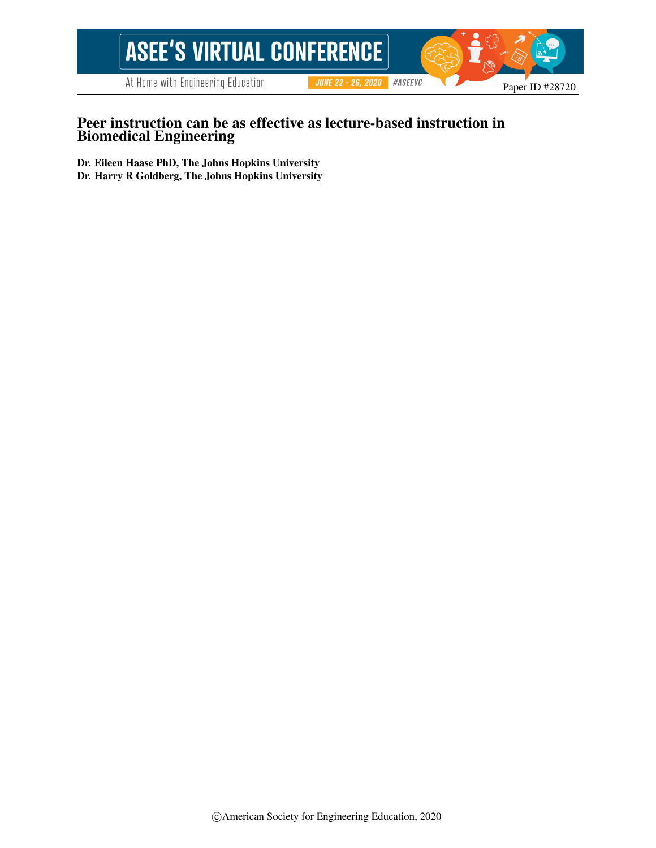

## Peer instruction can be as effective as lecture-based instruction in Biomedical Engineering

Dr. Eileen Haase PhD, The Johns Hopkins University Dr. Harry R Goldberg, The Johns Hopkins University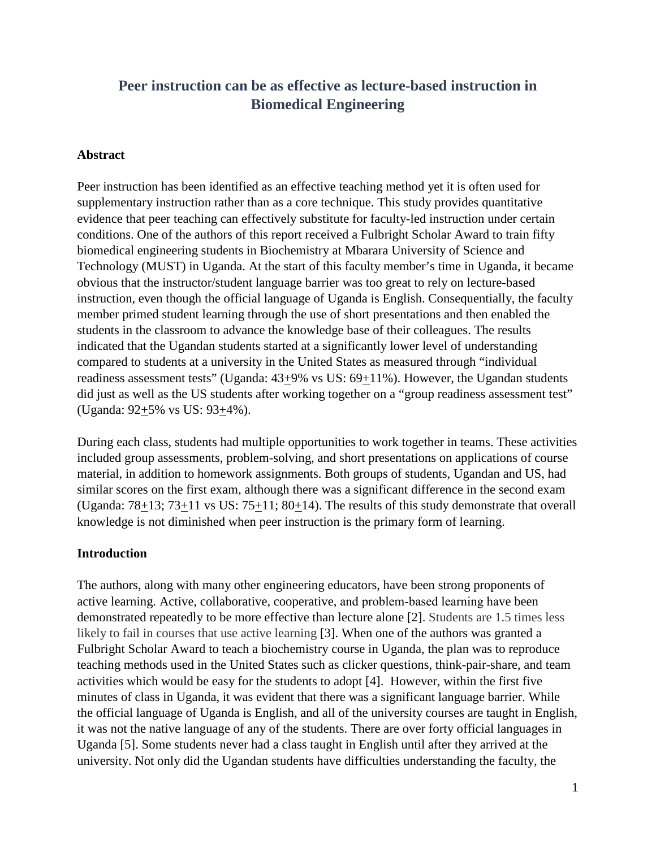# **Peer instruction can be as effective as lecture-based instruction in Biomedical Engineering**

### **Abstract**

Peer instruction has been identified as an effective teaching method yet it is often used for supplementary instruction rather than as a core technique. This study provides quantitative evidence that peer teaching can effectively substitute for faculty-led instruction under certain conditions. One of the authors of this report received a Fulbright Scholar Award to train fifty biomedical engineering students in Biochemistry at Mbarara University of Science and Technology (MUST) in Uganda. At the start of this faculty member's time in Uganda, it became obvious that the instructor/student language barrier was too great to rely on lecture-based instruction, even though the official language of Uganda is English. Consequentially, the faculty member primed student learning through the use of short presentations and then enabled the students in the classroom to advance the knowledge base of their colleagues. The results indicated that the Ugandan students started at a significantly lower level of understanding compared to students at a university in the United States as measured through "individual readiness assessment tests" (Uganda: 43+9% vs US: 69+11%). However, the Ugandan students did just as well as the US students after working together on a "group readiness assessment test" (Uganda:  $92+5\%$  vs US:  $93+4\%$ ).

During each class, students had multiple opportunities to work together in teams. These activities included group assessments, problem-solving, and short presentations on applications of course material, in addition to homework assignments. Both groups of students, Ugandan and US, had similar scores on the first exam, although there was a significant difference in the second exam (Uganda:  $78+13$ ;  $73+11$  vs US:  $75+11$ ;  $80+14$ ). The results of this study demonstrate that overall knowledge is not diminished when peer instruction is the primary form of learning.

### **Introduction**

The authors, along with many other engineering educators, have been strong proponents of active learning. Active, collaborative, cooperative, and problem‐based learning have been demonstrated repeatedly to be more effective than lecture alone [2]. Students are 1.5 times less likely to fail in courses that use active learning [3]. When one of the authors was granted a Fulbright Scholar Award to teach a biochemistry course in Uganda, the plan was to reproduce teaching methods used in the United States such as clicker questions, think-pair-share, and team activities which would be easy for the students to adopt [4]. However, within the first five minutes of class in Uganda, it was evident that there was a significant language barrier. While the official language of Uganda is English, and all of the university courses are taught in English, it was not the native language of any of the students. There are over forty official languages in Uganda [5]. Some students never had a class taught in English until after they arrived at the university. Not only did the Ugandan students have difficulties understanding the faculty, the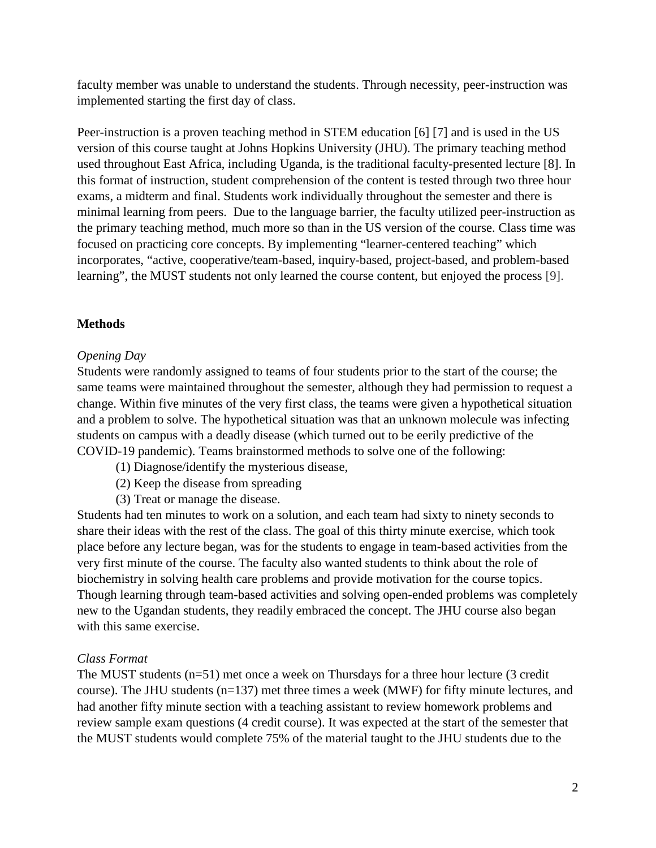faculty member was unable to understand the students. Through necessity, peer-instruction was implemented starting the first day of class.

Peer-instruction is a proven teaching method in STEM education [6] [7] and is used in the US version of this course taught at Johns Hopkins University (JHU). The primary teaching method used throughout East Africa, including Uganda, is the traditional faculty-presented lecture [8]. In this format of instruction, student comprehension of the content is tested through two three hour exams, a midterm and final. Students work individually throughout the semester and there is minimal learning from peers. Due to the language barrier, the faculty utilized peer-instruction as the primary teaching method, much more so than in the US version of the course. Class time was focused on practicing core concepts. By implementing "learner-centered teaching" which incorporates, "active, cooperative/team-based, inquiry-based, project-based, and problem-based learning", the MUST students not only learned the course content, but enjoyed the process [9].

## **Methods**

## *Opening Day*

Students were randomly assigned to teams of four students prior to the start of the course; the same teams were maintained throughout the semester, although they had permission to request a change. Within five minutes of the very first class, the teams were given a hypothetical situation and a problem to solve. The hypothetical situation was that an unknown molecule was infecting students on campus with a deadly disease (which turned out to be eerily predictive of the COVID-19 pandemic). Teams brainstormed methods to solve one of the following:

- (1) Diagnose/identify the mysterious disease,
- (2) Keep the disease from spreading
- (3) Treat or manage the disease.

Students had ten minutes to work on a solution, and each team had sixty to ninety seconds to share their ideas with the rest of the class. The goal of this thirty minute exercise, which took place before any lecture began, was for the students to engage in team-based activities from the very first minute of the course. The faculty also wanted students to think about the role of biochemistry in solving health care problems and provide motivation for the course topics. Though learning through team-based activities and solving open-ended problems was completely new to the Ugandan students, they readily embraced the concept. The JHU course also began with this same exercise.

## *Class Format*

The MUST students (n=51) met once a week on Thursdays for a three hour lecture (3 credit course). The JHU students (n=137) met three times a week (MWF) for fifty minute lectures, and had another fifty minute section with a teaching assistant to review homework problems and review sample exam questions (4 credit course). It was expected at the start of the semester that the MUST students would complete 75% of the material taught to the JHU students due to the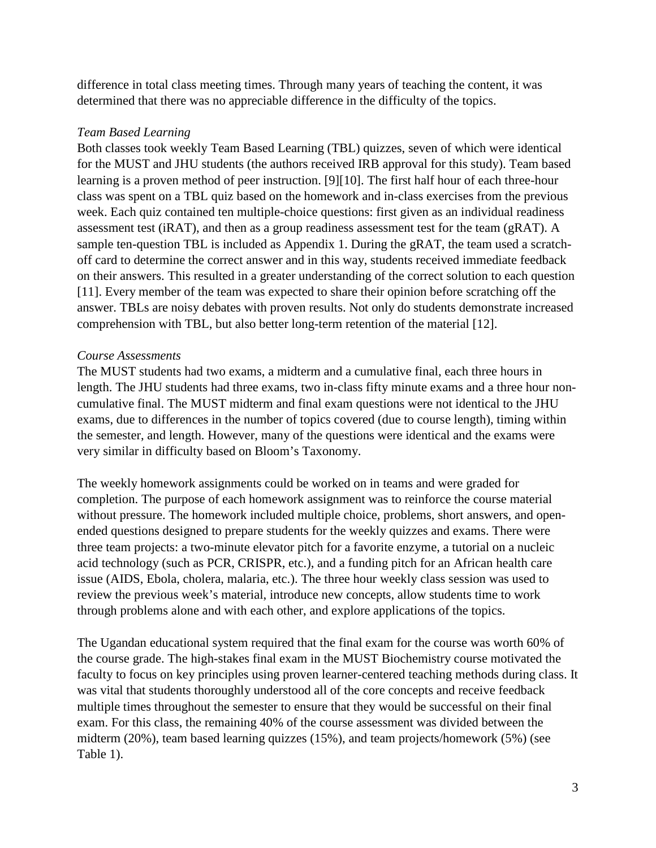difference in total class meeting times. Through many years of teaching the content, it was determined that there was no appreciable difference in the difficulty of the topics.

### *Team Based Learning*

Both classes took weekly Team Based Learning (TBL) quizzes, seven of which were identical for the MUST and JHU students (the authors received IRB approval for this study). Team based learning is a proven method of peer instruction. [9][10]. The first half hour of each three-hour class was spent on a TBL quiz based on the homework and in-class exercises from the previous week. Each quiz contained ten multiple-choice questions: first given as an individual readiness assessment test (iRAT), and then as a group readiness assessment test for the team (gRAT). A sample ten-question TBL is included as Appendix 1. During the gRAT, the team used a scratchoff card to determine the correct answer and in this way, students received immediate feedback on their answers. This resulted in a greater understanding of the correct solution to each question [11]. Every member of the team was expected to share their opinion before scratching off the answer. TBLs are noisy debates with proven results. Not only do students demonstrate increased comprehension with TBL, but also better long-term retention of the material [12].

### *Course Assessments*

The MUST students had two exams, a midterm and a cumulative final, each three hours in length. The JHU students had three exams, two in-class fifty minute exams and a three hour noncumulative final. The MUST midterm and final exam questions were not identical to the JHU exams, due to differences in the number of topics covered (due to course length), timing within the semester, and length. However, many of the questions were identical and the exams were very similar in difficulty based on Bloom's Taxonomy.

The weekly homework assignments could be worked on in teams and were graded for completion. The purpose of each homework assignment was to reinforce the course material without pressure. The homework included multiple choice, problems, short answers, and openended questions designed to prepare students for the weekly quizzes and exams. There were three team projects: a two-minute elevator pitch for a favorite enzyme, a tutorial on a nucleic acid technology (such as PCR, CRISPR, etc.), and a funding pitch for an African health care issue (AIDS, Ebola, cholera, malaria, etc.). The three hour weekly class session was used to review the previous week's material, introduce new concepts, allow students time to work through problems alone and with each other, and explore applications of the topics.

The Ugandan educational system required that the final exam for the course was worth 60% of the course grade. The high-stakes final exam in the MUST Biochemistry course motivated the faculty to focus on key principles using proven learner-centered teaching methods during class. It was vital that students thoroughly understood all of the core concepts and receive feedback multiple times throughout the semester to ensure that they would be successful on their final exam. For this class, the remaining 40% of the course assessment was divided between the midterm (20%), team based learning quizzes (15%), and team projects/homework (5%) (see Table 1).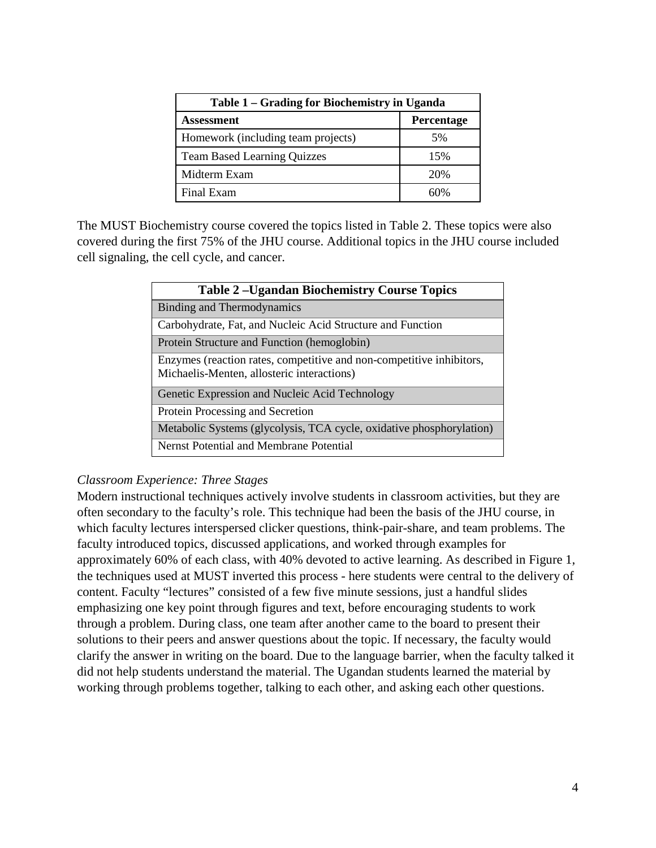| Table 1 – Grading for Biochemistry in Uganda |                   |  |
|----------------------------------------------|-------------------|--|
| Assessment                                   | <b>Percentage</b> |  |
| Homework (including team projects)           | 5%                |  |
| <b>Team Based Learning Quizzes</b>           | 15%               |  |
| Midterm Exam                                 | 20%               |  |
| Final Exam                                   | 60%               |  |

The MUST Biochemistry course covered the topics listed in Table 2. These topics were also covered during the first 75% of the JHU course. Additional topics in the JHU course included cell signaling, the cell cycle, and cancer.

| <b>Table 2-Ugandan Biochemistry Course Topics</b>                                                                  |  |
|--------------------------------------------------------------------------------------------------------------------|--|
| <b>Binding and Thermodynamics</b>                                                                                  |  |
| Carbohydrate, Fat, and Nucleic Acid Structure and Function                                                         |  |
| Protein Structure and Function (hemoglobin)                                                                        |  |
| Enzymes (reaction rates, competitive and non-competitive inhibitors,<br>Michaelis-Menten, allosteric interactions) |  |
| Genetic Expression and Nucleic Acid Technology                                                                     |  |
| Protein Processing and Secretion                                                                                   |  |
| Metabolic Systems (glycolysis, TCA cycle, oxidative phosphorylation)                                               |  |
| Nernst Potential and Membrane Potential                                                                            |  |

## *Classroom Experience: Three Stages*

Modern instructional techniques actively involve students in classroom activities, but they are often secondary to the faculty's role. This technique had been the basis of the JHU course, in which faculty lectures interspersed clicker questions, think-pair-share, and team problems. The faculty introduced topics, discussed applications, and worked through examples for approximately 60% of each class, with 40% devoted to active learning. As described in Figure 1, the techniques used at MUST inverted this process - here students were central to the delivery of content. Faculty "lectures" consisted of a few five minute sessions, just a handful slides emphasizing one key point through figures and text, before encouraging students to work through a problem. During class, one team after another came to the board to present their solutions to their peers and answer questions about the topic. If necessary, the faculty would clarify the answer in writing on the board. Due to the language barrier, when the faculty talked it did not help students understand the material. The Ugandan students learned the material by working through problems together, talking to each other, and asking each other questions.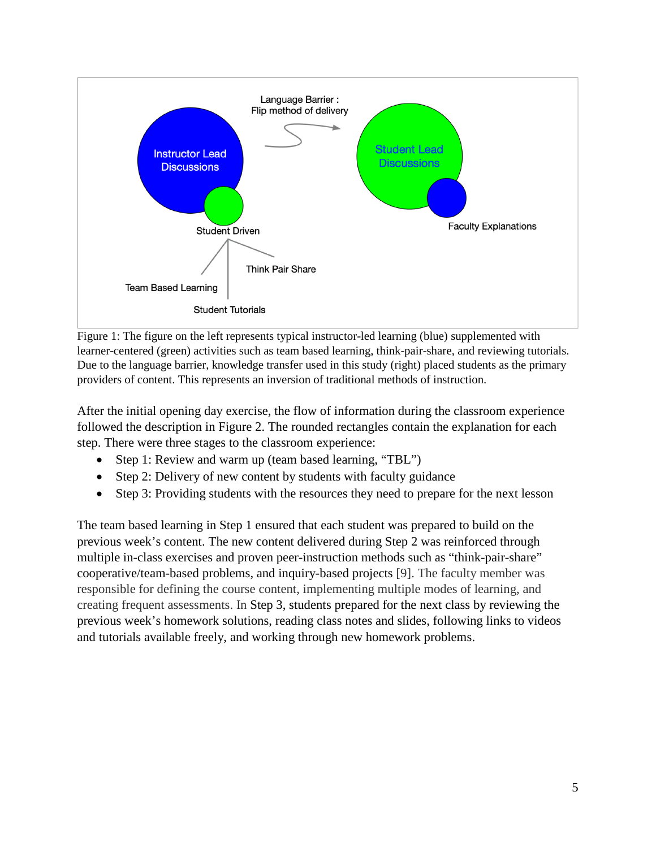

Figure 1: The figure on the left represents typical instructor-led learning (blue) supplemented with learner-centered (green) activities such as team based learning, think-pair-share, and reviewing tutorials. Due to the language barrier, knowledge transfer used in this study (right) placed students as the primary providers of content. This represents an inversion of traditional methods of instruction.

After the initial opening day exercise, the flow of information during the classroom experience followed the description in Figure 2. The rounded rectangles contain the explanation for each step. There were three stages to the classroom experience:

- Step 1: Review and warm up (team based learning, "TBL")
- Step 2: Delivery of new content by students with faculty guidance
- Step 3: Providing students with the resources they need to prepare for the next lesson

The team based learning in Step 1 ensured that each student was prepared to build on the previous week's content. The new content delivered during Step 2 was reinforced through multiple in-class exercises and proven peer-instruction methods such as "think-pair-share" cooperative/team-based problems, and inquiry-based projects [9]. The faculty member was responsible for defining the course content, implementing multiple modes of learning, and creating frequent assessments. In Step 3, students prepared for the next class by reviewing the previous week's homework solutions, reading class notes and slides, following links to videos and tutorials available freely, and working through new homework problems.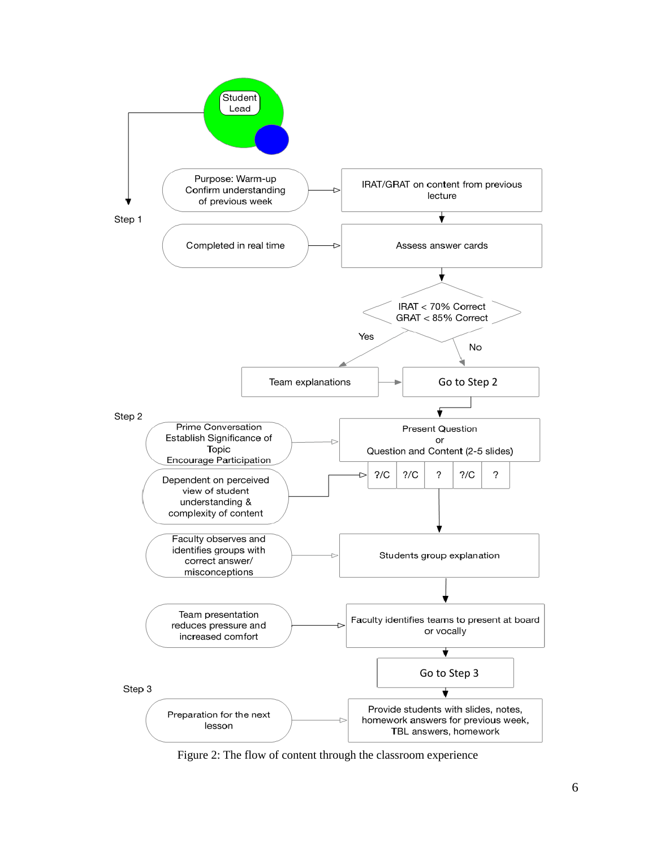

Figure 2: The flow of content through the classroom experience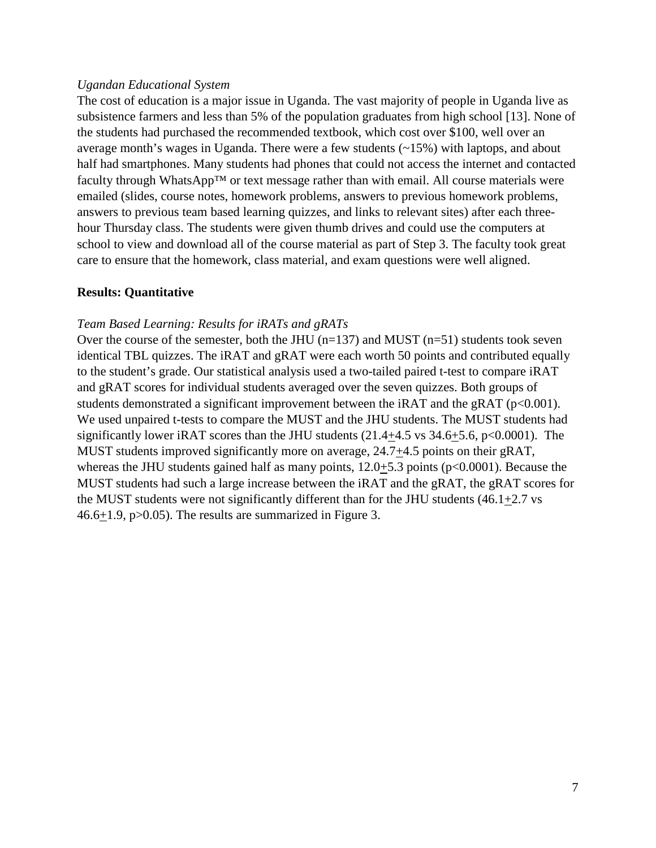#### *Ugandan Educational System*

The cost of education is a major issue in Uganda. The vast majority of people in Uganda live as subsistence farmers and less than 5% of the population graduates from high school [13]. None of the students had purchased the recommended textbook, which cost over \$100, well over an average month's wages in Uganda. There were a few students  $(\sim 15\%)$  with laptops, and about half had smartphones. Many students had phones that could not access the internet and contacted faculty through WhatsApp™ or text message rather than with email. All course materials were emailed (slides, course notes, homework problems, answers to previous homework problems, answers to previous team based learning quizzes, and links to relevant sites) after each threehour Thursday class. The students were given thumb drives and could use the computers at school to view and download all of the course material as part of Step 3. The faculty took great care to ensure that the homework, class material, and exam questions were well aligned.

### **Results: Quantitative**

#### *Team Based Learning: Results for iRATs and gRATs*

Over the course of the semester, both the JHU  $(n=137)$  and MUST  $(n=51)$  students took seven identical TBL quizzes. The iRAT and gRAT were each worth 50 points and contributed equally to the student's grade. Our statistical analysis used a two-tailed paired t-test to compare iRAT and gRAT scores for individual students averaged over the seven quizzes. Both groups of students demonstrated a significant improvement between the iRAT and the gRAT ( $p<0.001$ ). We used unpaired t-tests to compare the MUST and the JHU students. The MUST students had significantly lower iRAT scores than the JHU students  $(21.4 \pm 4.5 \text{ vs } 34.6 \pm 5.6, \text{ p} < 0.0001)$ . The MUST students improved significantly more on average, 24.7+4.5 points on their gRAT, whereas the JHU students gained half as many points,  $12.0 \pm 5.3$  points ( $p<0.0001$ ). Because the MUST students had such a large increase between the iRAT and the gRAT, the gRAT scores for the MUST students were not significantly different than for the JHU students  $(46.1 \pm 2.7 \text{ vs } 10^{-12})$ 46.6+1.9, p>0.05). The results are summarized in Figure 3.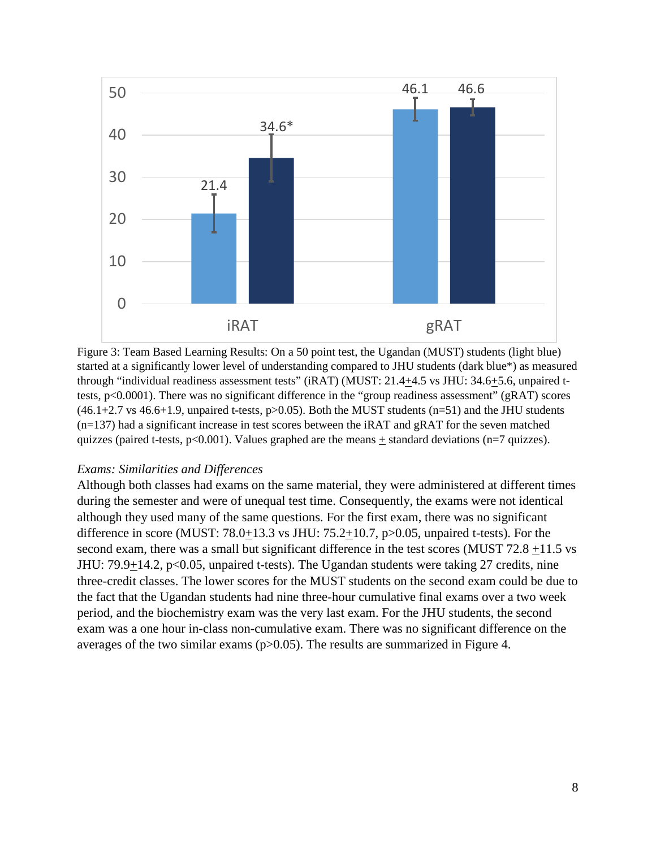

Figure 3: Team Based Learning Results: On a 50 point test, the Ugandan (MUST) students (light blue) started at a significantly lower level of understanding compared to JHU students (dark blue\*) as measured through "individual readiness assessment tests" (iRAT) (MUST: 21.4+4.5 vs JHU: 34.6+5.6, unpaired ttests, p<0.0001). There was no significant difference in the "group readiness assessment" (gRAT) scores  $(46.1+2.7 \text{ vs } 46.6+1.9,$  unpaired t-tests, p $>0.05$ ). Both the MUST students (n=51) and the JHU students  $(n=137)$  had a significant increase in test scores between the iRAT and gRAT for the seven matched quizzes (paired t-tests,  $p<0.001$ ). Values graphed are the means  $\pm$  standard deviations (n=7 quizzes).

#### *Exams: Similarities and Differences*

Although both classes had exams on the same material, they were administered at different times during the semester and were of unequal test time. Consequently, the exams were not identical although they used many of the same questions. For the first exam, there was no significant difference in score (MUST:  $78.0+13.3$  vs JHU:  $75.2+10.7$ ,  $p>0.05$ , unpaired t-tests). For the second exam, there was a small but significant difference in the test scores (MUST 72.8 +11.5 vs JHU: 79.9+14.2, p<0.05, unpaired t-tests). The Ugandan students were taking 27 credits, nine three-credit classes. The lower scores for the MUST students on the second exam could be due to the fact that the Ugandan students had nine three-hour cumulative final exams over a two week period, and the biochemistry exam was the very last exam. For the JHU students, the second exam was a one hour in-class non-cumulative exam. There was no significant difference on the averages of the two similar exams (p>0.05). The results are summarized in Figure 4.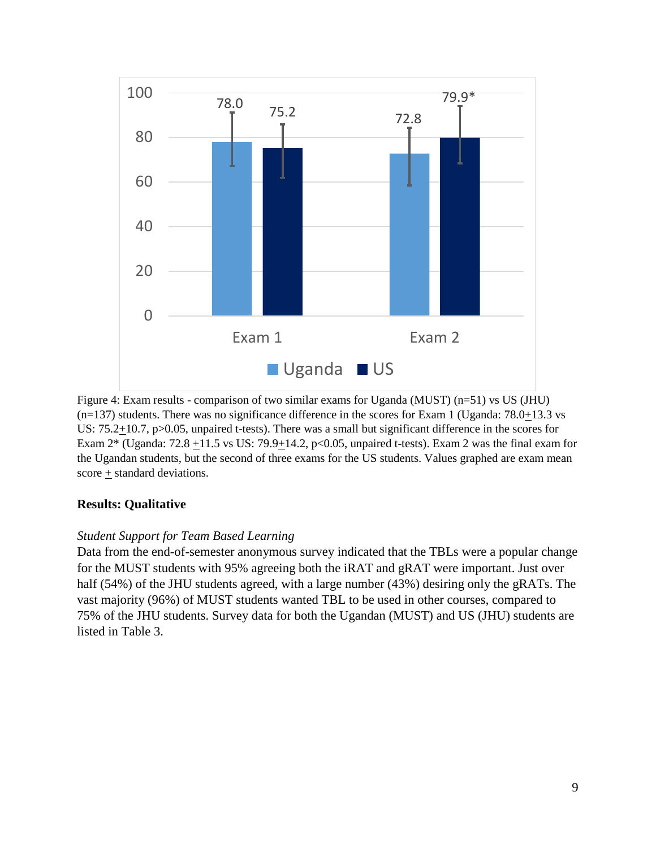

Figure 4: Exam results - comparison of two similar exams for Uganda (MUST) (n=51) vs US (JHU)  $(n=137)$  students. There was no significance difference in the scores for Exam 1 (Uganda: 78.0+13.3 vs US:  $75.2 \pm 10.7$ , p $> 0.05$ , unpaired t-tests). There was a small but significant difference in the scores for Exam  $2^*$  (Uganda:  $72.8 +11.5$  vs US:  $79.9 +14.2$ ,  $p<0.05$ , unpaired t-tests). Exam 2 was the final exam for the Ugandan students, but the second of three exams for the US students. Values graphed are exam mean score  $\pm$  standard deviations.

## **Results: Qualitative**

## *Student Support for Team Based Learning*

Data from the end-of-semester anonymous survey indicated that the TBLs were a popular change for the MUST students with 95% agreeing both the iRAT and gRAT were important. Just over half (54%) of the JHU students agreed, with a large number (43%) desiring only the gRATs. The vast majority (96%) of MUST students wanted TBL to be used in other courses, compared to 75% of the JHU students. Survey data for both the Ugandan (MUST) and US (JHU) students are listed in Table 3.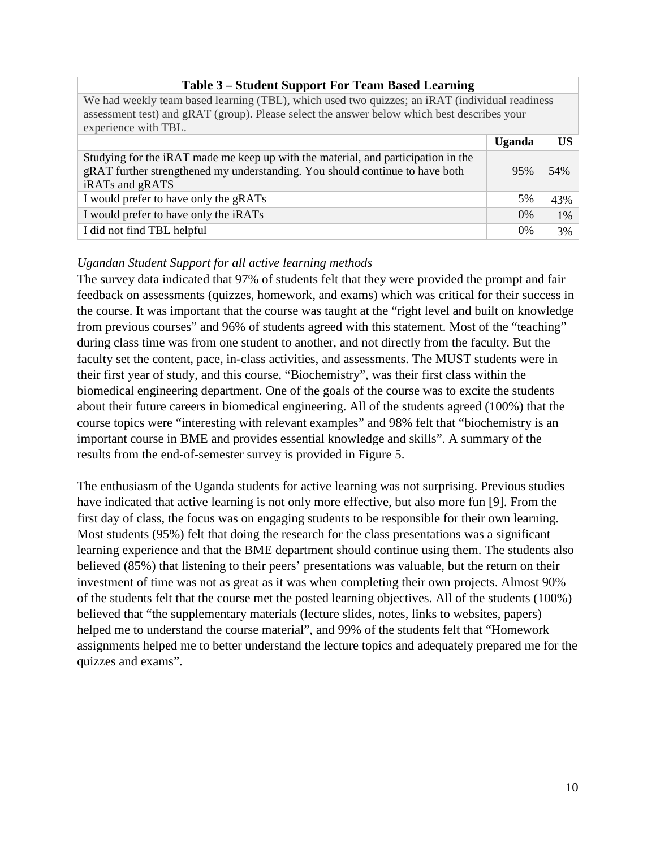| $1$ ably $3 - 5$ thught $8$ upport from Team Dascu Leaf ming                                                                                                                                                          |               |     |  |
|-----------------------------------------------------------------------------------------------------------------------------------------------------------------------------------------------------------------------|---------------|-----|--|
| We had weekly team based learning (TBL), which used two quizzes; an iRAT (individual readiness<br>assessment test) and gRAT (group). Please select the answer below which best describes your<br>experience with TBL. |               |     |  |
|                                                                                                                                                                                                                       | <b>Uganda</b> | US  |  |
| Studying for the iRAT made me keep up with the material, and participation in the<br>gRAT further strengthened my understanding. You should continue to have both<br>iRATs and gRATS                                  | 95%           | 54% |  |
| I would prefer to have only the gRATs                                                                                                                                                                                 | 5%            | 43% |  |
| I would prefer to have only the iRATs                                                                                                                                                                                 | $0\%$         | 1%  |  |
| I did not find TBL helpful                                                                                                                                                                                            | 0%            | 3%  |  |

# **Table 3 – Student Support For Team Based Learning**

## *Ugandan Student Support for all active learning methods*

The survey data indicated that 97% of students felt that they were provided the prompt and fair feedback on assessments (quizzes, homework, and exams) which was critical for their success in the course. It was important that the course was taught at the "right level and built on knowledge from previous courses" and 96% of students agreed with this statement. Most of the "teaching" during class time was from one student to another, and not directly from the faculty. But the faculty set the content, pace, in-class activities, and assessments. The MUST students were in their first year of study, and this course, "Biochemistry", was their first class within the biomedical engineering department. One of the goals of the course was to excite the students about their future careers in biomedical engineering. All of the students agreed (100%) that the course topics were "interesting with relevant examples" and 98% felt that "biochemistry is an important course in BME and provides essential knowledge and skills". A summary of the results from the end-of-semester survey is provided in Figure 5.

The enthusiasm of the Uganda students for active learning was not surprising. Previous studies have indicated that active learning is not only more effective, but also more fun [9]. From the first day of class, the focus was on engaging students to be responsible for their own learning. Most students (95%) felt that doing the research for the class presentations was a significant learning experience and that the BME department should continue using them. The students also believed (85%) that listening to their peers' presentations was valuable, but the return on their investment of time was not as great as it was when completing their own projects. Almost 90% of the students felt that the course met the posted learning objectives. All of the students (100%) believed that "the supplementary materials (lecture slides, notes, links to websites, papers) helped me to understand the course material", and 99% of the students felt that "Homework assignments helped me to better understand the lecture topics and adequately prepared me for the quizzes and exams".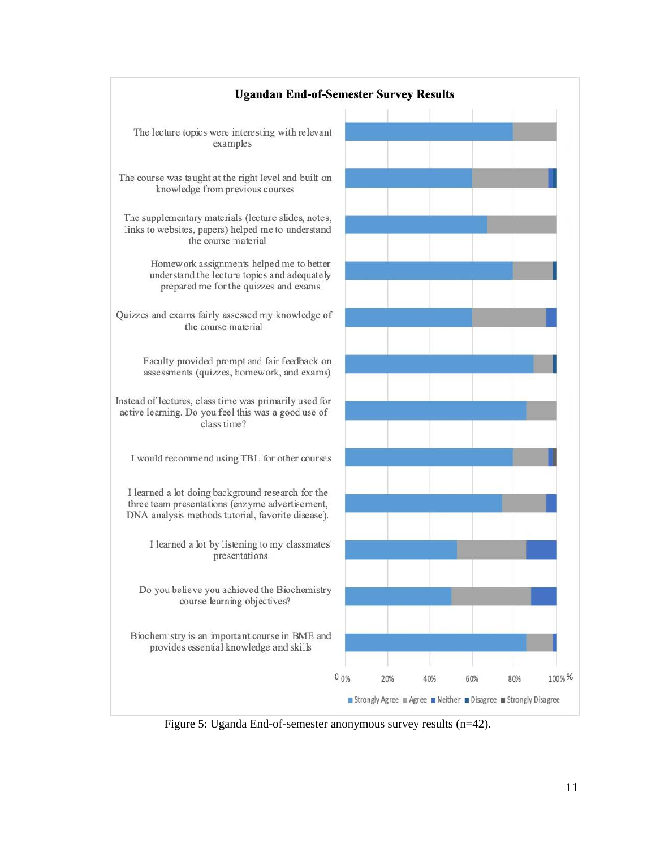

Figure 5: Uganda End-of-semester anonymous survey results (n=42).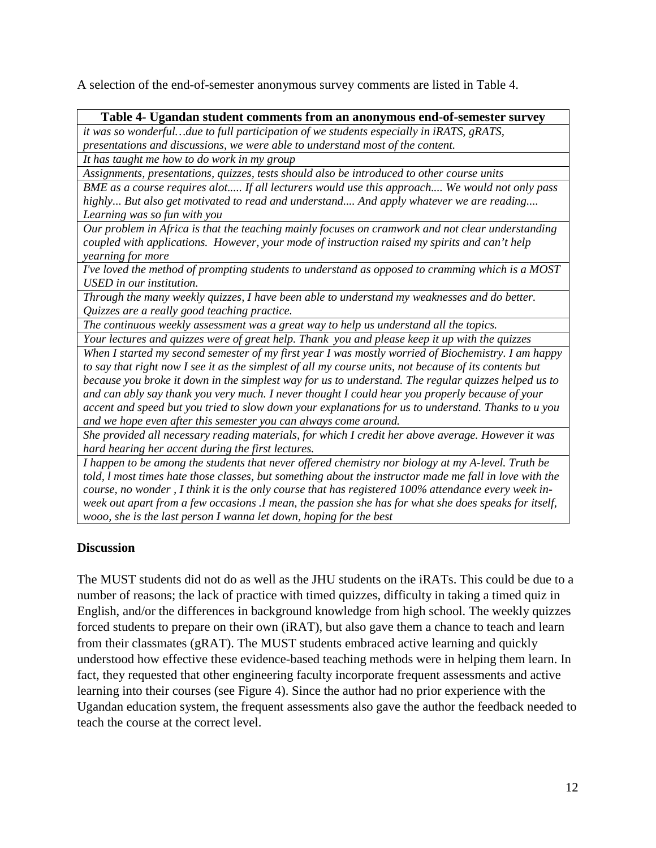A selection of the end-of-semester anonymous survey comments are listed in Table 4.

### **Table 4- Ugandan student comments from an anonymous end-of-semester survey**

*it was so wonderful…due to full participation of we students especially in iRATS, gRATS, presentations and discussions, we were able to understand most of the content.* 

*It has taught me how to do work in my group* 

*Assignments, presentations, quizzes, tests should also be introduced to other course units*

*BME as a course requires alot..... If all lecturers would use this approach.... We would not only pass highly... But also get motivated to read and understand.... And apply whatever we are reading.... Learning was so fun with you*

*Our problem in Africa is that the teaching mainly focuses on cramwork and not clear understanding coupled with applications. However, your mode of instruction raised my spirits and can't help yearning for more*

*I've loved the method of prompting students to understand as opposed to cramming which is a MOST USED in our institution.* 

*Through the many weekly quizzes, I have been able to understand my weaknesses and do better. Quizzes are a really good teaching practice.*

*The continuous weekly assessment was a great way to help us understand all the topics.* 

*Your lectures and quizzes were of great help. Thank you and please keep it up with the quizzes When I started my second semester of my first year I was mostly worried of Biochemistry. I am happy to say that right now I see it as the simplest of all my course units, not because of its contents but because you broke it down in the simplest way for us to understand. The regular quizzes helped us to and can ably say thank you very much. I never thought I could hear you properly because of your accent and speed but you tried to slow down your explanations for us to understand. Thanks to u you and we hope even after this semester you can always come around.* 

*She provided all necessary reading materials, for which I credit her above average. However it was hard hearing her accent during the first lectures.*

*I happen to be among the students that never offered chemistry nor biology at my A-level. Truth be told, l most times hate those classes, but something about the instructor made me fall in love with the course, no wonder , I think it is the only course that has registered 100% attendance every week inweek out apart from a few occasions .I mean, the passion she has for what she does speaks for itself, wooo, she is the last person I wanna let down, hoping for the best*

## **Discussion**

The MUST students did not do as well as the JHU students on the iRATs. This could be due to a number of reasons; the lack of practice with timed quizzes, difficulty in taking a timed quiz in English, and/or the differences in background knowledge from high school. The weekly quizzes forced students to prepare on their own (iRAT), but also gave them a chance to teach and learn from their classmates (gRAT). The MUST students embraced active learning and quickly understood how effective these evidence-based teaching methods were in helping them learn. In fact, they requested that other engineering faculty incorporate frequent assessments and active learning into their courses (see Figure 4). Since the author had no prior experience with the Ugandan education system, the frequent assessments also gave the author the feedback needed to teach the course at the correct level.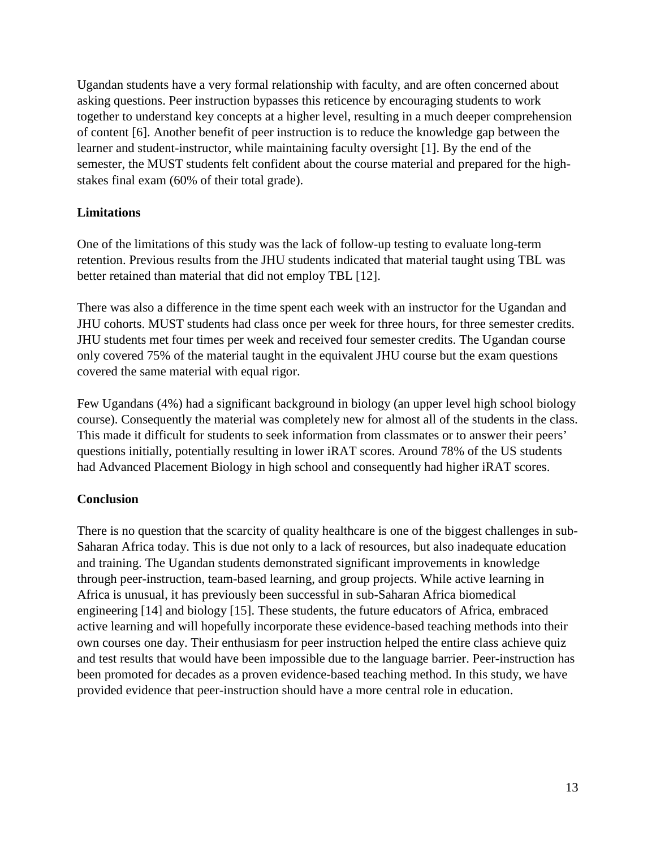Ugandan students have a very formal relationship with faculty, and are often concerned about asking questions. Peer instruction bypasses this reticence by encouraging students to work together to understand key concepts at a higher level, resulting in a much deeper comprehension of content [6]. Another benefit of peer instruction is to reduce the knowledge gap between the learner and student-instructor, while maintaining faculty oversight [1]. By the end of the semester, the MUST students felt confident about the course material and prepared for the highstakes final exam (60% of their total grade).

## **Limitations**

One of the limitations of this study was the lack of follow-up testing to evaluate long-term retention. Previous results from the JHU students indicated that material taught using TBL was better retained than material that did not employ TBL [12].

There was also a difference in the time spent each week with an instructor for the Ugandan and JHU cohorts. MUST students had class once per week for three hours, for three semester credits. JHU students met four times per week and received four semester credits. The Ugandan course only covered 75% of the material taught in the equivalent JHU course but the exam questions covered the same material with equal rigor.

Few Ugandans (4%) had a significant background in biology (an upper level high school biology course). Consequently the material was completely new for almost all of the students in the class. This made it difficult for students to seek information from classmates or to answer their peers' questions initially, potentially resulting in lower iRAT scores. Around 78% of the US students had Advanced Placement Biology in high school and consequently had higher iRAT scores.

# **Conclusion**

There is no question that the scarcity of quality healthcare is one of the biggest challenges in sub-Saharan Africa today. This is due not only to a lack of resources, but also inadequate education and training. The Ugandan students demonstrated significant improvements in knowledge through peer-instruction, team-based learning, and group projects. While active learning in Africa is unusual, it has previously been successful in sub-Saharan Africa biomedical engineering [14] and biology [15]. These students, the future educators of Africa, embraced active learning and will hopefully incorporate these evidence-based teaching methods into their own courses one day. Their enthusiasm for peer instruction helped the entire class achieve quiz and test results that would have been impossible due to the language barrier. Peer-instruction has been promoted for decades as a proven evidence-based teaching method. In this study, we have provided evidence that peer-instruction should have a more central role in education.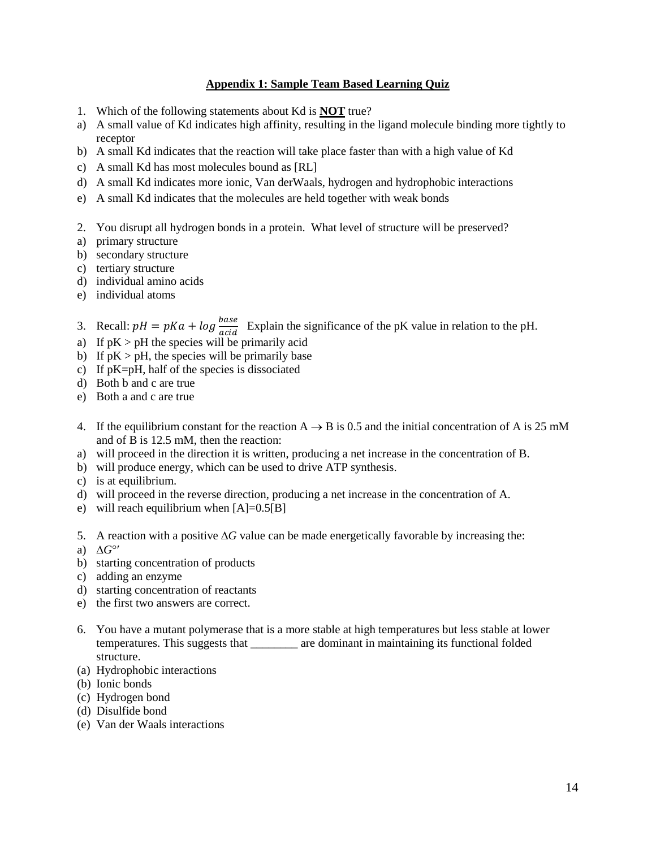#### **Appendix 1: Sample Team Based Learning Quiz**

- 1. Which of the following statements about Kd is **NOT** true?
- a) A small value of Kd indicates high affinity, resulting in the ligand molecule binding more tightly to receptor
- b) A small Kd indicates that the reaction will take place faster than with a high value of Kd
- c) A small Kd has most molecules bound as [RL]
- d) A small Kd indicates more ionic, Van derWaals, hydrogen and hydrophobic interactions
- e) A small Kd indicates that the molecules are held together with weak bonds
- 2. You disrupt all hydrogen bonds in a protein. What level of structure will be preserved?
- a) primary structure
- b) secondary structure
- c) tertiary structure
- d) individual amino acids
- e) individual atoms
- 3. Recall:  $pH = pKa + log \frac{base}{acid}$  Explain the significance of the pK value in relation to the pH.
- a) If  $pK > pH$  the species will be primarily acid
- b) If  $pK > pH$ , the species will be primarily base
- c) If pK=pH, half of the species is dissociated
- d) Both b and c are true
- e) Both a and c are true
- 4. If the equilibrium constant for the reaction  $A \rightarrow B$  is 0.5 and the initial concentration of A is 25 mM and of B is 12.5 mM, then the reaction:
- a) will proceed in the direction it is written, producing a net increase in the concentration of B.
- b) will produce energy, which can be used to drive ATP synthesis.
- c) is at equilibrium.
- d) will proceed in the reverse direction, producing a net increase in the concentration of A.
- e) will reach equilibrium when  $[A]=0.5[B]$
- 5. A reaction with a positive ∆*G* value can be made energetically favorable by increasing the:
- a) ∆*G*°′
- b) starting concentration of products
- c) adding an enzyme
- d) starting concentration of reactants
- e) the first two answers are correct.
- 6. You have a mutant polymerase that is a more stable at high temperatures but less stable at lower temperatures. This suggests that \_\_\_\_\_\_\_\_ are dominant in maintaining its functional folded structure.
- (a) Hydrophobic interactions
- (b) Ionic bonds
- (c) Hydrogen bond
- (d) Disulfide bond
- (e) Van der Waals interactions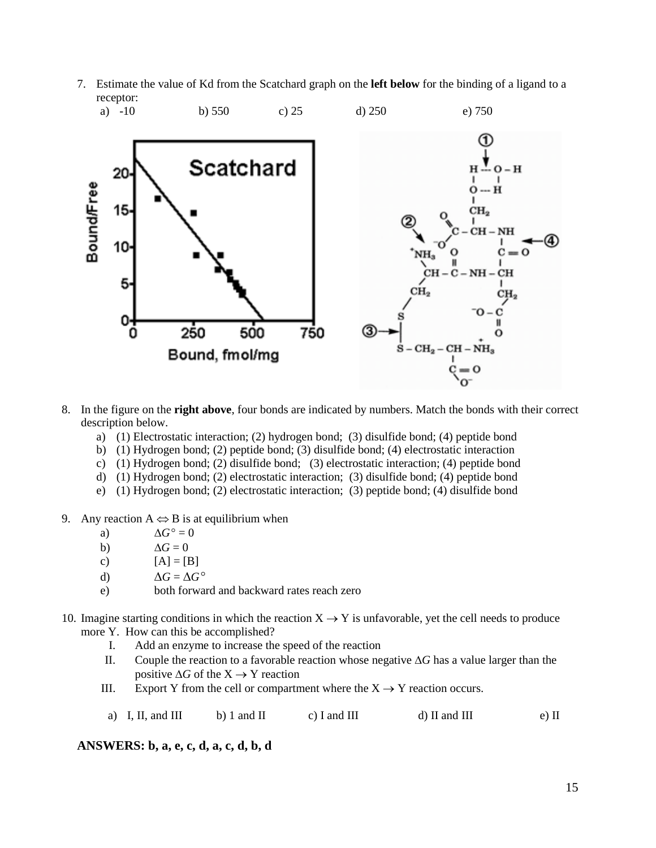7. Estimate the value of Kd from the Scatchard graph on the **left below** for the binding of a ligand to a receptor:



- 8. In the figure on the **right above**, four bonds are indicated by numbers. Match the bonds with their correct description below.
	- a) (1) Electrostatic interaction; (2) hydrogen bond; (3) disulfide bond; (4) peptide bond
	- b) (1) Hydrogen bond; (2) peptide bond; (3) disulfide bond; (4) electrostatic interaction
	- c) (1) Hydrogen bond; (2) disulfide bond; (3) electrostatic interaction; (4) peptide bond
	- d) (1) Hydrogen bond; (2) electrostatic interaction; (3) disulfide bond; (4) peptide bond
	- e) (1) Hydrogen bond; (2) electrostatic interaction; (3) peptide bond; (4) disulfide bond
- 9. Any reaction  $A \Leftrightarrow B$  is at equilibrium when
	- a)  $\Delta G^{\circ} = 0$
	- b)  $\Delta G = 0$
	- c)  $[A] = [B]$
	- d)  $\Delta G = \Delta G^{\circ}$
	- e) both forward and backward rates reach zero
- 10. Imagine starting conditions in which the reaction  $X \rightarrow Y$  is unfavorable, yet the cell needs to produce more Y. How can this be accomplished?
	- I. Add an enzyme to increase the speed of the reaction
	- II. Couple the reaction to a favorable reaction whose negative ∆*G* has a value larger than the positive  $\Delta G$  of the  $X \rightarrow Y$  reaction
	- III. Export Y from the cell or compartment where the  $X \rightarrow Y$  reaction occurs.
	- a) I, II, and III b) 1 and II c) I and III d) II and III e) II

**ANSWERS: b, a, e, c, d, a, c, d, b, d**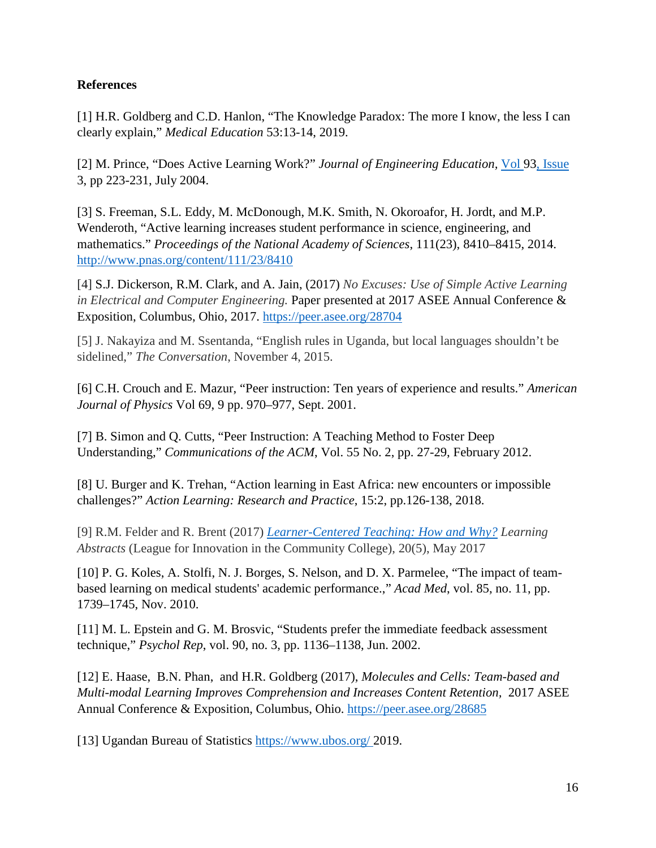## **References**

[1] H.R. Goldberg and C.D. Hanlon, "The Knowledge Paradox: The more I know, the less I can clearly explain," *Medical Education* 53:13-14, 2019.

[2] M. Prince, "Does Active Learning Work?" *Journal of Engineering Education,* Vol [93, Issue](https://onlinelibrary.wiley.com/toc/21689830/2004/93/3)  [3,](https://onlinelibrary.wiley.com/toc/21689830/2004/93/3) pp 223-231, July 2004.

[3] S. Freeman, S.L. Eddy, M. McDonough, M.K. Smith, N. Okoroafor, H. Jordt, and M.P. Wenderoth, "Active learning increases student performance in science, engineering, and mathematics." *Proceedings of the National Academy of Sciences*, 111(23), 8410–8415, 2014. <http://www.pnas.org/content/111/23/8410>

[4] S.J. Dickerson, R.M. Clark, and A. Jain, (2017) *No Excuses: Use of Simple Active Learning in Electrical and Computer Engineering.* Paper presented at 2017 ASEE Annual Conference & Exposition, Columbus, Ohio, 2017.<https://peer.asee.org/28704>

[5] J. Nakayiza and M. Ssentanda, "English rules in Uganda, but local languages shouldn't be sidelined," *The Conversation*, November 4, 2015.

[6] C.H. Crouch and E. Mazur, "Peer instruction: Ten years of experience and results." *American Journal of Physics* Vol 69, 9 pp. 970–977, Sept. 2001.

[7] B. Simon and Q. Cutts, "Peer Instruction: A Teaching Method to Foster Deep Understanding," *Communications of the ACM*, Vol. 55 No. 2, pp. 27-29, February 2012.

[8] U. Burger and K. Trehan, "Action learning in East Africa: new encounters or impossible challenges?" *Action Learning: Research and Practice*, 15:2, pp.126-138, 2018.

[9] R.M. Felder and R. Brent (2017) *[Learner-Centered Teaching: How and Why?](https://www.engr.ncsu.edu/wp-content/uploads/drive/13bveaviVsJ8n8vKtfBqkLLNeMbIrietw/2017-LCT%20Paper.pdf) Learning Abstracts* (League for Innovation in the Community College), 20(5), May 2017

[10] P. G. Koles, A. Stolfi, N. J. Borges, S. Nelson, and D. X. Parmelee, "The impact of teambased learning on medical students' academic performance.," *Acad Med*, vol. 85, no. 11, pp. 1739–1745, Nov. 2010.

[11] M. L. Epstein and G. M. Brosvic, "Students prefer the immediate feedback assessment technique," *Psychol Rep*, vol. 90, no. 3, pp. 1136–1138, Jun. 2002.

[12] E. Haase, B.N. Phan, and H.R. Goldberg (2017), *Molecules and Cells: Team-based and Multi-modal Learning Improves Comprehension and Increases Content Retention,* 2017 ASEE Annual Conference & Exposition, Columbus, Ohio.<https://peer.asee.org/28685>

[13] Ugandan Bureau of Statistics<https://www.ubos.org/> 2019.